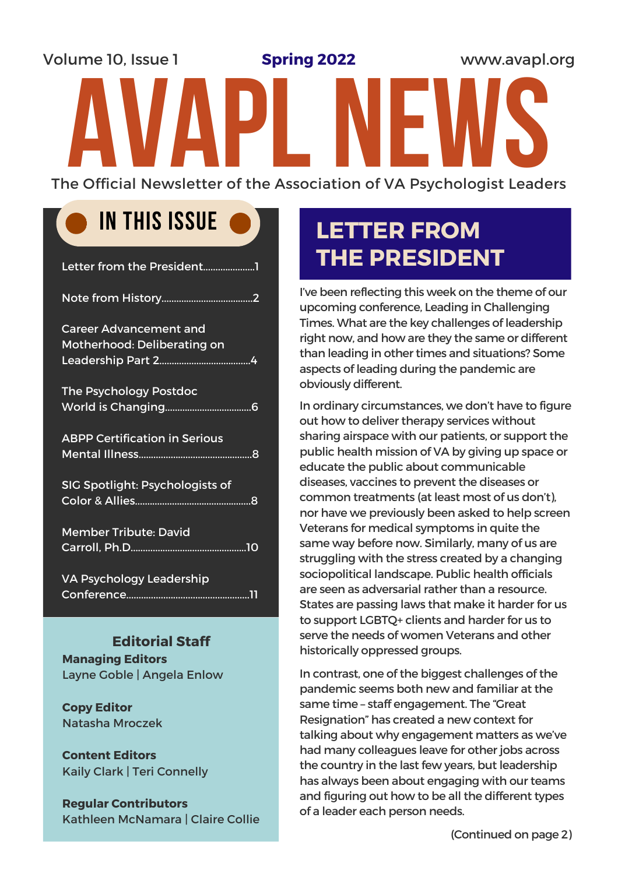Volume 10, Issue 1 **Spring 2022 www.avapl.org Spring 2022** The Official Newsletter of the Association of VA Psychologist Leaders

### IN THIS ISSUE

| Letter from the President1                                   |
|--------------------------------------------------------------|
|                                                              |
| <b>Career Advancement and</b><br>Motherhood: Deliberating on |
| <b>The Psychology Postdoc</b>                                |
| <b>ABPP Certification in Serious</b>                         |
| SIG Spotlight: Psychologists of                              |
| <b>Member Tribute: David</b>                                 |
| <b>VA Psychology Leadership</b>                              |

#### **Editorial Staff**

**Managing Editors** Layne Goble | Angela Enlow

**Copy Editor** Natasha Mroczek

**Content Editors** Kaily Clark | Teri Connelly

**Regular Contributors** Kathleen McNamara | Claire Collie

### **LETTER FROM THE PRESIDENT**

I've been reflecting this week on the theme of our upcoming conference, Leading in Challenging Times. What are the key challenges of leadership right now, and how are they the same or different than leading in other times and situations? Some aspects of leading during the pandemic are obviously different.

In ordinary circumstances, we don't have to figure out how to deliver therapy services without sharing airspace with our patients, or support the public health mission of VA by giving up space or educate the public about communicable diseases, vaccines to prevent the diseases or common treatments (at least most of us don't), nor have we previously been asked to help screen Veterans for medical symptoms in quite the same way before now. Similarly, many of us are struggling with the stress created by a changing sociopolitical landscape. Public health officials are seen as adversarial rather than a resource. States are passing laws that make it harder for us to support LGBTQ+ clients and harder for us to serve the needs of women Veterans and other historically oppressed groups.

In contrast, one of the biggest challenges of the pandemic seems both new and familiar at the same time – staff engagement. The "Great Resignation" has created a new context for talking about why engagement matters as we've had many colleagues leave for other jobs across the country in the last few years, but leadership has always been about engaging with our teams and figuring out how to be all the different types of a leader each person needs.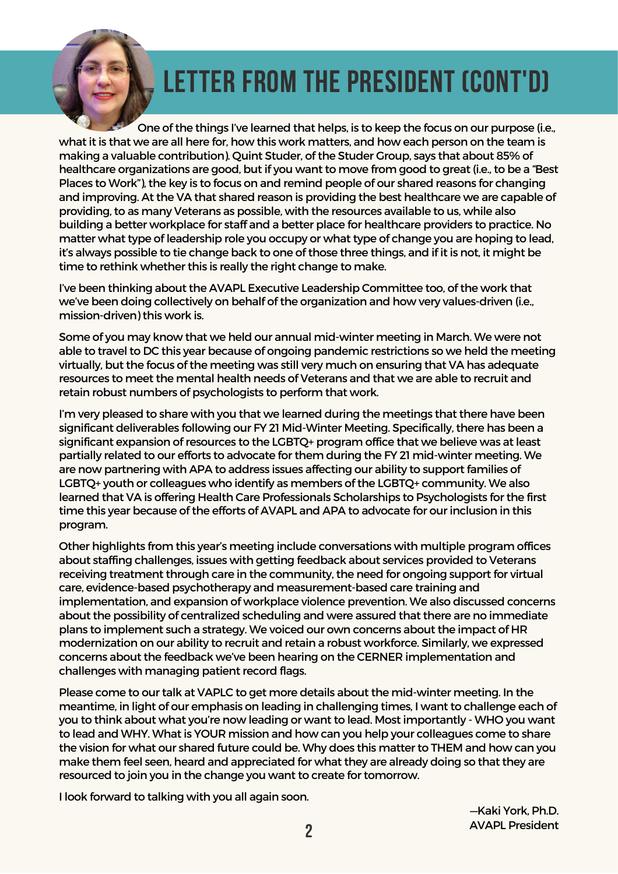

# LETTER FROM THE PRESIDENT (CONT'D)

One of the things I've learned that helps, is to keep the focus on our purpose (i.e., what it is that we are all here for, how this work matters, and how each person on the team is making a valuable contribution). Quint Studer, of the Studer Group, says that about 85% of healthcare organizations are good, but if you want to move from good to great (i.e., to be a "Best Places to Work"), the key is to focus on and remind people of our shared reasons for changing and improving. At the VA that shared reason is providing the best healthcare we are capable of providing, to as many Veterans as possible, with the resources available to us, while also building a better workplace for staff and a better place for healthcare providers to practice. No matter what type of leadership role you occupy or what type of change you are hoping to lead, it's always possible to tie change back to one of those three things, and if it is not, it might be time to rethink whether this is really the right change to make.

I've been thinking about the AVAPL Executive Leadership Committee too, of the work that we've been doing collectively on behalf of the organization and how very values-driven (i.e., mission-driven) this work is.

Some of you may know that we held our annual mid-winter meeting in March. We were not able to travel to DC this year because of ongoing pandemic restrictions so we held the meeting virtually, but the focus of the meeting was still very much on ensuring that VA has adequate resources to meet the mental health needs of Veterans and that we are able to recruit and retain robust numbers of psychologists to perform that work.

I'm very pleased to share with you that we learned during the meetings that there have been significant deliverables following our FY 21 Mid-Winter Meeting. Specifically, there has been a significant expansion ofresources to the LGBTQ+ program office that we believe was at least partially related to our efforts to advocate for them during the FY 21 mid-winter meeting. We are now partnering with APA to address issues affecting our ability to support families of LGBTQ+ youth or colleagues who identify as members of the LGBTQ+ community. We also learned that VA is offering Health Care Professionals Scholarships to Psychologists for the first time this year because of the efforts of AVAPL and APA to advocate for our inclusion in this program.

Other highlights from this year's meeting include conversations with multiple program offices about staffing challenges, issues with getting feedback about services provided to Veterans receiving treatment through care in the community, the need for ongoing support for virtual care, evidence-based psychotherapy and measurement-based care training and implementation, and expansion of workplace violence prevention. We also discussed concerns about the possibility of centralized scheduling and were assured that there are no immediate plans to implement such a strategy. We voiced our own concerns about the impact of HR modernization on our ability to recruit and retain a robust workforce. Similarly, we expressed concerns about the feedback we've been hearing on the CERNER implementation and challenges with managing patient record flags.

Please come to our talk at VAPLC to get more details about the mid-winter meeting. In the meantime, in light of our emphasis on leading in challenging times, I want to challenge each of you to think about what you're now leading or want to lead. Most importantly - WHO you want to lead and WHY. What is YOUR mission and how can you help your colleagues come to share the vision for what our shared future could be. Why does this matter to THEM and how can you make them feel seen, heard and appreciated for what they are already doing so that they are resourced to join you in the change you want to create for tomorrow.

I look forward to talking with you all again soon.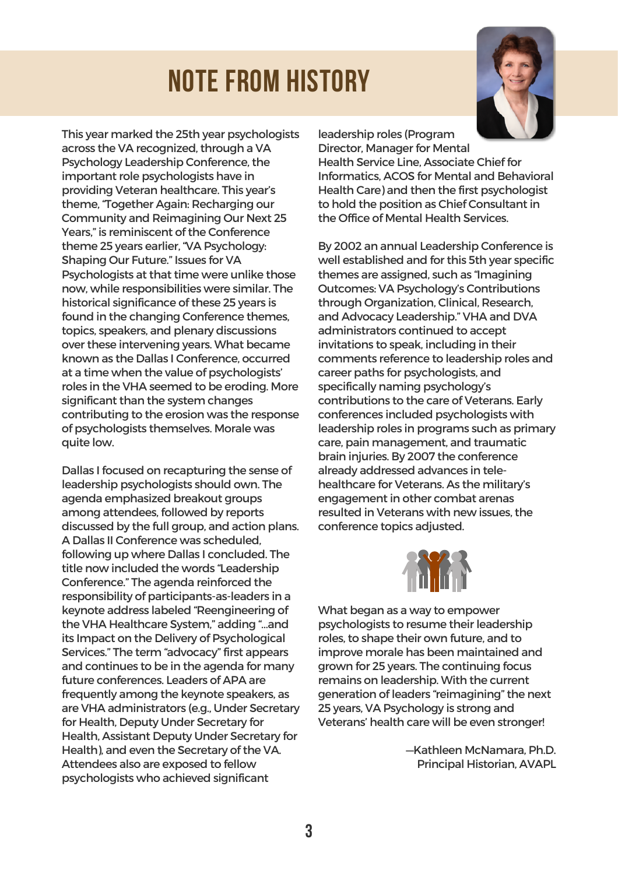# NOTE FROM HISTORY



This year marked the 25th year psychologists across the VA recognized, through a VA Psychology Leadership Conference, the important role psychologists have in providing Veteran healthcare. This year's theme, "Together Again: Recharging our Community and Reimagining Our Next 25 Years," is reminiscent of the Conference theme 25 years earlier, "VA Psychology: Shaping Our Future." Issues for VA Psychologists at that time were unlike those now, while responsibilities were similar. The historical significance of these 25 years is found in the changing Conference themes, topics, speakers, and plenary discussions over these intervening years. What became known as the Dallas I Conference, occurred at a time when the value of psychologists' roles in the VHA seemed to be eroding. More significant than the system changes contributing to the erosion was the response of psychologists themselves. Morale was quite low.

Dallas I focused on recapturing the sense of leadership psychologists should own. The agenda emphasized breakout groups among attendees, followed by reports discussed by the full group, and action plans. A Dallas II Conference was scheduled, following up where Dallas I concluded. The title now included the words "Leadership Conference." The agenda reinforced the responsibility of participants-as-leaders in a keynote address labeled "Reengineering of the VHA Healthcare System," adding "…and its Impact on the Delivery of Psychological Services." The term "advocacy" first appears and continues to be in the agenda for many future conferences. Leaders of APA are frequently among the keynote speakers, as are VHA administrators (e.g., Under Secretary for Health, Deputy Under Secretary for Health, Assistant Deputy Under Secretary for Health), and even the Secretary of the VA. Attendees also are exposed to fellow psychologists who achieved significant

leadership roles (Program

Director, Manager for Mental Health Service Line, Associate Chief for Informatics, ACOS for Mental and Behavioral Health Care) and then the first psychologist to hold the position as Chief Consultant in the Office of Mental Health Services.

By 2002 an annual Leadership Conference is well established and for this 5th year specific themes are assigned, such as "Imagining Outcomes: VA Psychology's Contributions through Organization, Clinical, Research, and Advocacy Leadership." VHA and DVA administrators continued to accept invitations to speak, including in their comments reference to leadership roles and career paths for psychologists, and specifically naming psychology's contributions to the care of Veterans. Early conferences included psychologists with leadership roles in programs such as primary care, pain management, and traumatic brain injuries. By 2007 the conference already addressed advances in telehealthcare for Veterans. As the military's engagement in other combat arenas resulted in Veterans with new issues, the conference topics adjusted.



What began as a way to empower psychologists to resume their leadership roles, to shape their own future, and to improve morale has been maintained and grown for 25 years. The continuing focus remains on leadership. With the current generation of leaders "reimagining" the next 25 years, VA Psychology is strong and Veterans' health care will be even stronger!

> —Kathleen McNamara, Ph.D. Principal Historian, AVAPL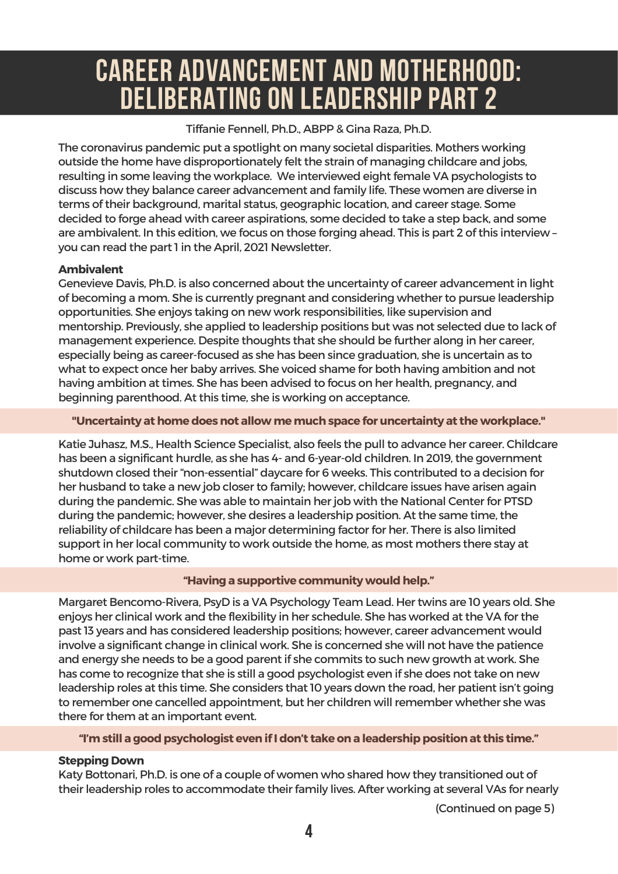### CAREER ADVANCEMENT AND MOTHERHOOD: DELIBERATING ON LEADERSHIP PART 2

#### Tiffanie Fennell, Ph.D., ABPP & Gina Raza, Ph.D.

The coronavirus pandemic put a spotlight on many societal disparities. Mothers working outside the home have disproportionately felt the strain of managing childcare and jobs, resulting in some leaving the workplace. We interviewed eight female VA psychologists to discuss how they balance career advancement and family life. These women are diverse in terms of their background, marital status, geographic location, and career stage. Some decided to forge ahead with career aspirations, some decided to take a step back, and some are ambivalent. In this edition, we focus on those forging ahead. This is part 2 of this interview – you can read the part 1in the April, 2021 Newsletter.

#### **Ambivalent**

Genevieve Davis, Ph.D. is also concerned about the uncertainty of career advancement in light of becoming a mom. She is currently pregnant and considering whether to pursue leadership opportunities. She enjoys taking on new work responsibilities, like supervision and mentorship. Previously, she applied to leadership positions but was not selected due to lack of management experience. Despite thoughts that she should be further along in her career, especially being as career-focused as she has been since graduation, she is uncertain as to what to expect once her baby arrives. She voiced shame for both having ambition and not having ambition at times. She has been advised to focus on her health, pregnancy, and beginning parenthood. At this time, she is working on acceptance.

#### **"Uncertainty athomedoesnot allowmemuchspace for uncertainty at the workplace."**

Katie Juhasz, M.S., Health Science Specialist, also feels the pull to advance her career. Childcare has been a significant hurdle, as she has 4- and 6-year-old children. In 2019, the government shutdown closed their"non-essential" daycare for 6 weeks. This contributed to a decision for her husband to take a new job closer to family; however, childcare issues have arisen again during the pandemic. She was able to maintain herjob with the National Centerfor PTSD during the pandemic; however, she desires a leadership position. At the same time, the reliability of childcare has been a major determining factor for her. There is also limited support in her local community to work outside the home, as most mothers there stay at home or work part-time.

#### **"Having a supportive community wouldhelp."**

Margaret Bencomo-Rivera, PsyD isa VA Psychology Team Lead. Her twins are 10 years old. She enjoys her clinical work and the flexibility in her schedule. She has worked at the VA for the past 13 years and has considered leadership positions; however, career advancement would involve a significant change in clinical work. She is concerned she will not have the patience and energy she needs to be a good parent if she commits to such new growth at work. She has come to recognize that she is still a good psychologist even if she does not take on new leadership roles at this time. She considers that 10 years down the road, her patient isn't going to remember one cancelled appointment, but her children will remember whether she was there for them at an important event.

#### **"I'mstill a goodpsychologist evenifIdon't take ona leadershippositionat this time."**

#### **Stepping Down**

Katy Bottonari, Ph.D. is one of a couple of women who shared how they transitioned out of their leadership roles to accommodate their family lives. After working at several VAs for nearly

(Continued on page 5)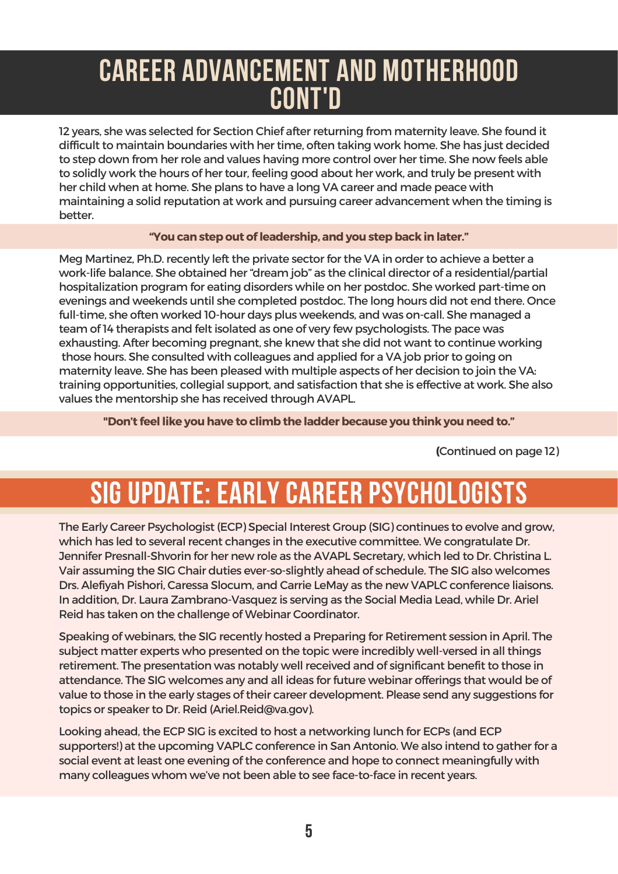### CAREER ADVANCEMENT AND MOTHERHOOD CONT'D

12 years, she was selected for Section Chief after returning from maternity leave. She found it difficult to maintain boundaries with her time, often taking work home. She has just decided to step down from herrole and values having more control over her time. She now feels able to solidly work the hours of her tour, feeling good about her work, and truly be present with her child when at home. She plans to have a long VA career and made peace with maintaining a solid reputation at work and pursuing career advancement when the timing is better.

#### **"You canstepout ofleadership, andyou stepback inlater."**

Meg Martinez, Ph.D. recently left the private sector for the VA in order to achieve a better a work-life balance. She obtained her"dream job" as the clinical director of a residential/partial hospitalization program for eating disorders while on her postdoc. She worked part-time on evenings and weekends until she completed postdoc. The long hours did not end there. Once full-time, she often worked 10-hour days plus weekends, and was on-call. She managed a team of14 therapists and felt isolated as one of very few psychologists. The pace was exhausting. After becoming pregnant, she knew that she did not want to continue working those hours. She consulted with colleagues and applied for a VA job prior to going on maternity leave. She has been pleased with multiple aspects of her decision to join the VA: training opportunities, collegial support, and satisfaction that she is effective at work. She also values the mentorship she has received through AVAPL.

**"Don't feel like youhave to climbthe ladderbecause you think youneedto."**

**(**Continued on page 12)

# SIG UPDATE: EARLY CAREER PSYCHOLOGISTS

The Early Career Psychologist (ECP) Special Interest Group (SIG) continues to evolve and grow, which has led to several recent changes in the executive committee. We congratulate Dr. Jennifer Presnall-Shvorin for her new role as the AVAPL Secretary, which led to Dr. Christina L. Vair assuming the SIG Chair duties ever-so-slightly ahead of schedule. The SIG also welcomes Drs. Alefiyah Pishori, Caressa Slocum, and Carrie LeMay as the new VAPLC conference liaisons. In addition, Dr. Laura Zambrano-Vasquez is serving as the Social Media Lead, while Dr. Ariel Reid has taken on the challenge of Webinar Coordinator.

Speaking of webinars, the SIG recently hosted a Preparing for Retirement session in April. The subject matter experts who presented on the topic were incredibly well-versed in all things retirement. The presentation was notably well received and of significant benefit to those in attendance. The SIG welcomes any and all ideas for future webinar offerings that would be of value to those in the early stages of their career development. Please send any suggestions for topics or speaker to Dr. Reid [\(Ariel.Reid@va.gov\)](mailto:Ariel.Reid@va.gov).

Looking ahead, the ECP SIG is excited to host a networking lunch for ECPs (and ECP supporters!) at the upcoming VAPLC conference in San Antonio. We also intend to gather for a social event at least one evening of the conference and hope to connect meaningfully with many colleagues whom we've not been able to see face-to-face in recent years.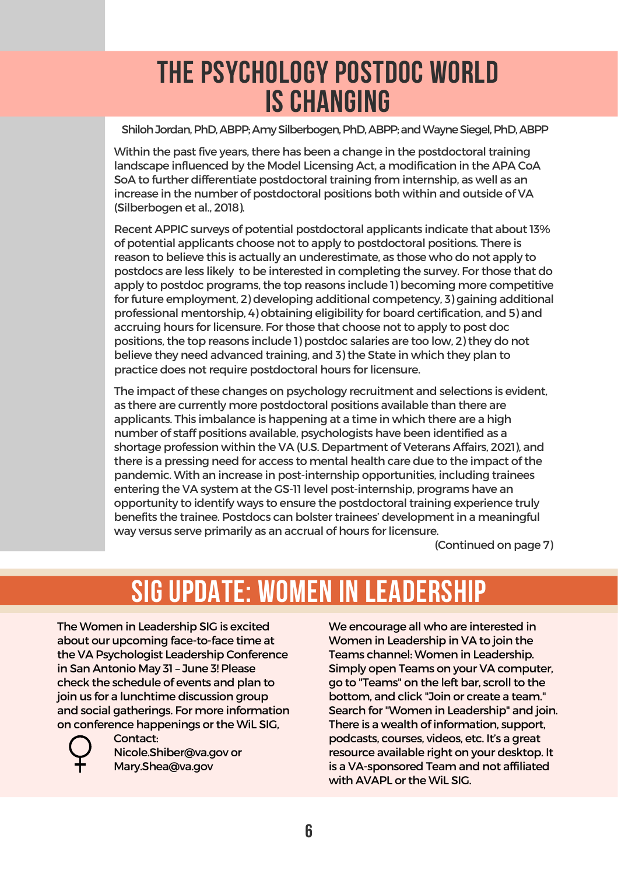### THE PSYCHOLOGY POSTDOC WORLD IS CHANGING

Shiloh Jordan, PhD, ABPP; Amy Silberbogen, PhD, ABPP; and Wayne Siegel, PhD, ABPP

Within the past five years, there has been a change in the postdoctoral training landscape influenced by the Model Licensing Act, a modification in the APA CoA SoA to further differentiate postdoctoral training from internship, as well as an increase in the number of postdoctoral positions both within and outside of VA (Silberbogen et al., 2018).

Recent APPIC surveys of potential postdoctoral applicants indicate that about 13% of potential applicants choose not to apply to postdoctoral positions. There is reason to believe this is actually an underestimate, as those who do not apply to postdocs are less likely to be interested in completing the survey. For those that do apply to postdoc programs, the top reasons include 1) becoming more competitive for future employment, 2) developing additional competency, 3) gaining additional professional mentorship, 4) obtaining eligibility for board certification, and 5) and accruing hours for licensure. For those that choose not to apply to post doc positions, the top reasons include 1) postdoc salaries are too low, 2) they do not believe they need advanced training, and 3) the State in which they plan to practice does not require postdoctoral hours for licensure.

The impact of these changes on psychology recruitment and selections is evident, as there are currently more postdoctoral positions available than there are applicants. This imbalance is happening at a time in which there are a high number of staff positions available, psychologists have been identified as a shortage profession within the VA (U.S. Department of Veterans Affairs, 2021), and there is a pressing need for access to mental health care due to the impact of the pandemic. With an increase in post-internship opportunities, including trainees entering the VA system at the GS-11level post-internship, programs have an opportunity to identify ways to ensure the postdoctoral training experience truly benefits the trainee. Postdocs can bolster trainees' development in a meaningful way versus serve primarily as an accrual of hours for licensure.

(Continued on page 7)

# SIG UPDATE: WOMEN IN LEADERSHIP

The Women in Leadership SIG is excited about our upcoming face-to-face time at the VA Psychologist Leadership Conference in San Antonio May 31 – June 3! Please check the schedule of events and plan to join us for a lunchtime discussion group and social gatherings. For more information on conference happenings or the WiL SIG,



Contact: [Nicole.Shiber@va.gov](mailto:Nicole.Shiber@va.gov) or [Mary.Shea@va.gov](mailto:Mary.Shea@va.gov)

We encourage all who are interested in Women in Leadership in VA to join the Teams channel: Women in Leadership. Simply open Teams on your VA computer, go to "Teams" on the left bar, scroll to the bottom, and click "Join or create a team." Search for"Women in Leadership" and join. There is a wealth of information, support, podcasts, courses, videos, etc. It's a great resource available right on your desktop. It is a VA-sponsored Team and not affiliated with AVAPL or the WiL SIG.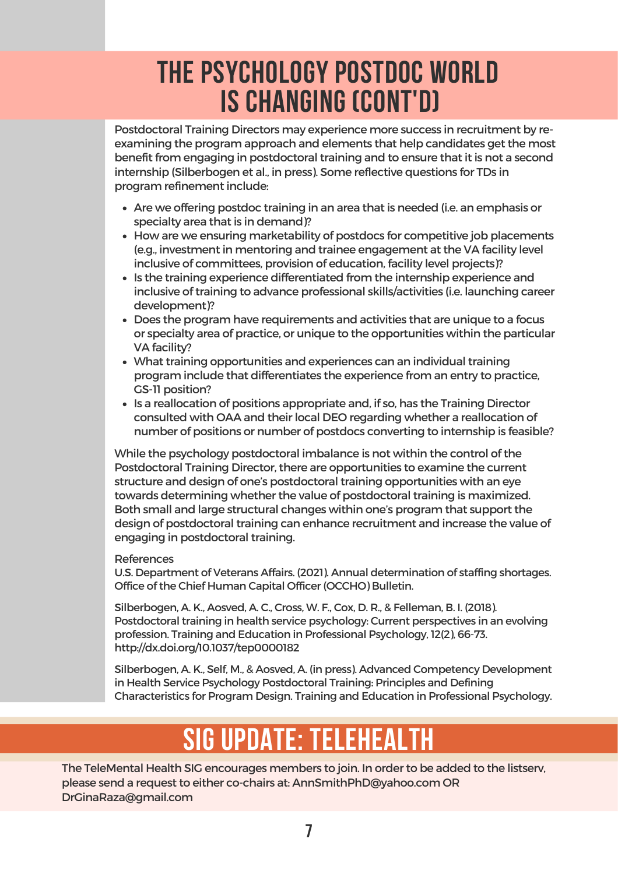### THE PSYCHOLOGY POSTDOC WORLD IS CHANGING (CONT'D)

Postdoctoral Training Directors may experience more success in recruitment by reexamining the program approach and elements that help candidates get the most benefit from engaging in postdoctoral training and to ensure that it is not a second internship (Silberbogen et al., in press). Some reflective questions for TDs in program refinement include:

- Are we offering postdoc training in an area that is needed (i.e. an emphasis or specialty area that is in demand)?
- How are we ensuring marketability of postdocs for competitive job placements (e.g., investment in mentoring and trainee engagement at the VA facility level inclusive of committees, provision of education, facility level projects)?
- Is the training experience differentiated from the internship experience and inclusive of training to advance professional skills/activities (i.e. launching career development)?
- Does the program have requirements and activities that are unique to a focus or specialty area of practice, or unique to the opportunities within the particular VA facility?
- What training opportunities and experiences can an individual training program include that differentiates the experience from an entry to practice, GS-11 position?
- Is a reallocation of positions appropriate and, if so, has the Training Director consulted with OAA and their local DEO regarding whether a reallocation of number of positions or number of postdocs converting to internship is feasible?

While the psychology postdoctoral imbalance is not within the control of the Postdoctoral Training Director, there are opportunities to examine the current structure and design of one's postdoctoral training opportunities with an eye towards determining whether the value of postdoctoral training is maximized. Both small and large structural changes within one's program that support the design of postdoctoral training can enhance recruitment and increase the value of engaging in postdoctoral training.

#### **References**

U.S. Department of Veterans Affairs. (2021). Annual determination of staffing shortages. Office of the Chief Human Capital Officer(OCCHO) Bulletin.

Silberbogen, A. K., Aosved, A. C., Cross, W. F., Cox, D. R., & Felleman, B. I. (2018). Postdoctoral training in health service psychology: Current perspectives in an evolving profession. Training and Education in Professional Psychology,12(2), 66-73. <http://dx.doi.org/10.1037/tep0000182>

Silberbogen, A. K., Self, M., & Aosved, A. (in press). Advanced Competency Development in Health Service Psychology Postdoctoral Training: Principles and Defining Characteristics for Program Design. Training and Education in Professional Psychology.

# SIG UPDATE: TELEHEALT

The TeleMental Health SIG encourages members to join. In order to be added to the listserv, please send a request to either co-chairs at: [AnnSmithPhD@yahoo.com](mailto:AnnSmithPhD@yahoo.com) OR [DrGinaRaza@gmail.com](mailto:DrGinaRaza@gmail.com)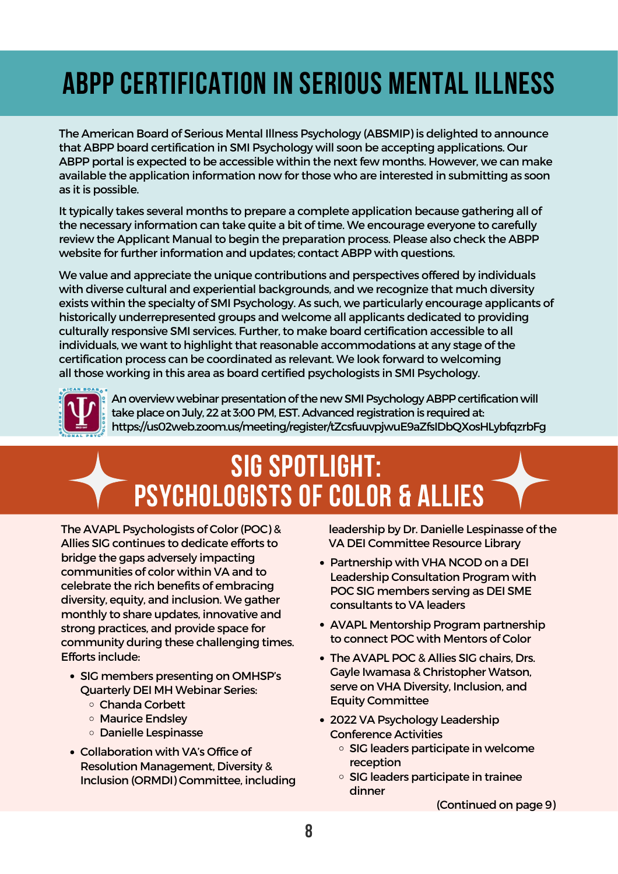# ABPP CERTIFICATION IN SERIOUS MENTAL ILLNESS

The American Board of Serious Mental Illness Psychology (ABSMIP) is delighted to announce that ABPP board certification in SMI Psychology will soon be accepting applications. Our ABPP portal is expected to be accessible within the next few months. However, we can make available the application information now for those who are interested in submitting as soon as it is possible.

It typically takes several months to prepare a complete application because gathering all of the necessary information can take quite a bit of time. We encourage everyone to carefully review the Applicant Manual to begin the preparation process. Please also check the ABPP website for further information and updates; contact ABPP with questions.

We value and appreciate the unique contributions and perspectives offered by individuals with diverse cultural and experiential backgrounds, and we recognize that much diversity exists within the specialty of SMI Psychology. As such, we particularly encourage applicants of historically underrepresented groups and welcome all applicants dedicated to providing culturally responsive SMI services. Further, to make board certification accessible to all individuals, we want to highlight that reasonable accommodations at any stage of the certification process can be coordinated as relevant. We look forward to welcoming all those working in this area as board certified psychologists in SMI Psychology.



An overview webinar presentation of the new SMI Psychology ABPP certification will take place on July, 22 at 3:00 PM, EST. Advanced registration is required at: https://us02web.zoom.us/meeting/register/tZcsfuuvpjwuE9aZfsIDbQXosHLybfqzrbFg

# SIG SPOTLIGHT: PSYCHOLOGISTS OF COLOR & ALLIES

The AVAPL Psychologists of Color (POC) & Allies SIG continues to dedicate efforts to bridge the gaps adversely impacting communities of color within VA and to celebrate the rich benefits of embracing diversity, equity, and inclusion. We gather monthly to share updates, innovative and strong practices, and provide space for community during these challenging times. Efforts include:

- SIG members presenting on OMHSP's Quarterly DEI MH Webinar Series:
	- Chanda Corbett
	- Maurice Endsley
	- Danielle Lespinasse
- Collaboration with VA's Office of Resolution Management, Diversity & Inclusion (ORMDI) Committee, including

leadership by Dr. Danielle Lespinasse of the VA DEI [Committee](https://dvagov.sharepoint.com/sites/vhaorm-odi-community-page/SitePages/Establishing-Diversity,-Equity-and-Inclusion-Committees.aspx) Resource Library

- Partnership with VHA NCOD on a DEI Leadership Consultation Program with POC SIG members serving as DEI SME consultants to VA leaders
- AVAPL Mentorship Program partnership to connect POC with Mentors of Color
- The AVAPL POC & Allies SIG chairs, Drs. Gayle Iwamasa & Christopher Watson, serve on VHA Diversity, Inclusion, and Equity Committee
- 2022 VA Psychology Leadership Conference Activities
	- SIG leaders participate in welcome reception
	- SIG leaders participate in trainee dinner

(Continued on page 9)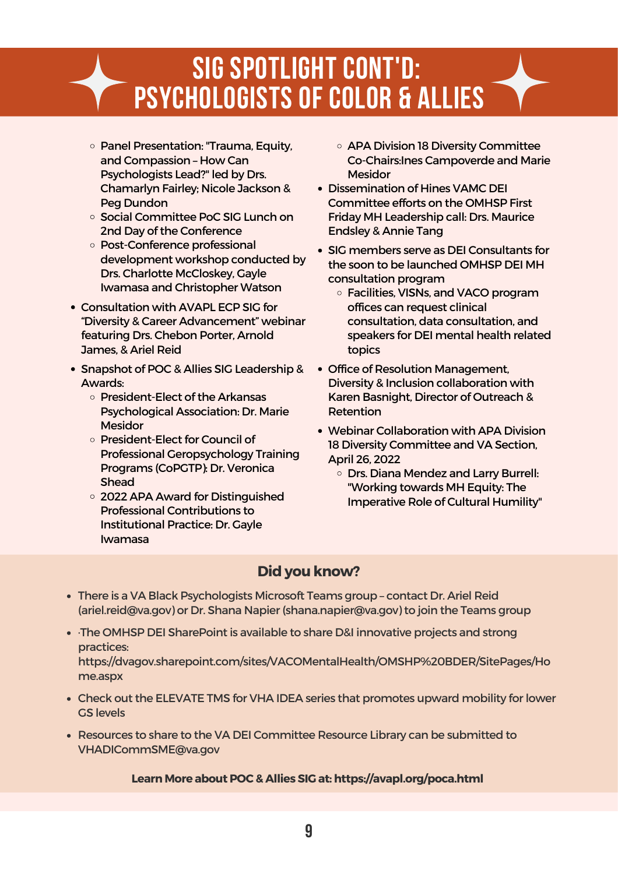### SIG SPOTLIGHT CONT'D: PSYCHOLOGISTS OF COLOR & ALLIES

- **Panel Presentation: "Trauma, Equity,** and Compassion – How Can Psychologists Lead?" led by Drs. Chamarlyn Fairley; Nicole Jackson & Peg Dundon
- Social Committee PoC SIG Lunch on 2nd Day of the Conference
- Post-Conference professional development workshop conducted by Drs. Charlotte McCloskey, Gayle Iwamasa and Christopher Watson
- Consultation with AVAPL ECP SIG for "Diversity & Career Advancement" webinar featuring Drs. Chebon Porter, Arnold James, & Ariel Reid
- Snapshot of POC & Allies SIG Leadership & Awards:
	- o President-Elect of the Arkansas Psychological Association: Dr. Marie **Mesidor**
	- o President-Elect for Council of Professional Geropsychology Training Programs (CoPGTP): Dr. Veronica Shead
	- 2022 APA Award for Distinguished Professional Contributions to Institutional Practice: Dr. Gayle Iwamasa
- o APA Division 18 Diversity Committee Co-Chairs:Ines Campoverde and Marie **Mesidor**
- Dissemination of Hines VAMC DEI Committee efforts on the OMHSP First Friday MH Leadership call: Drs. Maurice Endsley & Annie Tang
- SIG members serve as DEI Consultants for the soon to be launched OMHSP DEI MH consultation program
	- Facilities, VISNs, and VACO program offices can request clinical consultation, data consultation, and speakers for DEI mental health related topics
- Office of Resolution Management, Diversity & Inclusion collaboration with Karen Basnight, Director of Outreach & Retention
- Webinar Collaboration with APA Division 18 Diversity Committee and VA Section, April 26, 2022
	- Drs. Diana Mendez and Larry Burrell: "Working towards MH Equity: The Imperative Role of Cultural Humility"

#### **Didyou know?**

- There is a VA Black Psychologists Microsoft Teams group contact Dr. Ariel Reid ([ariel.reid@va.gov](mailto:ariel.reid@va.gov)) or Dr. Shana Napier[\(shana.napier@va.gov](mailto:shana.napier@va.gov)) to join the Teams group
- ·The OMHSP DEI SharePoint is available to share D&I innovative projects and strong practices:

[https://dvagov.sharepoint.com/sites/VACOMentalHealth/OMSHP%20BDER/SitePages/Ho](https://gcc02.safelinks.protection.outlook.com/?url=https%3A%2F%2Fdvagov.sharepoint.com%2Fsites%2FVACOMentalHealth%2FOMSHP%2520BDER%2FSitePages%2FHome.aspx&data=04%7C01%7C%7C1d0cca680dfd4337089308d8fab0ad65%7Ce95f1b23abaf45ee821db7ab251ab3bf%7C0%7C0%7C637534984050003893%7CUnknown%7CTWFpbGZsb3d8eyJWIjoiMC4wLjAwMDAiLCJQIjoiV2luMzIiLCJBTiI6Ik1haWwiLCJXVCI6Mn0%3D%7C1000&sdata=Y4Y1Lhnk0MXM4e4LYPudC2wLCsNzEjWn8GPqli8LjuE%3D&reserved=0) me.aspx

- Check out the ELEVATE TMS for VHA IDEA series that promotes upward mobility for lower GS levels
- Resources to share to the VA DEI Committee Resource Library can be submitted to [VHADICommSME@va.gov](mailto:VHADICommSME@va.gov)

#### **Learn More aboutPOC& Allies SIG at:<https://avapl.org/poca.html>**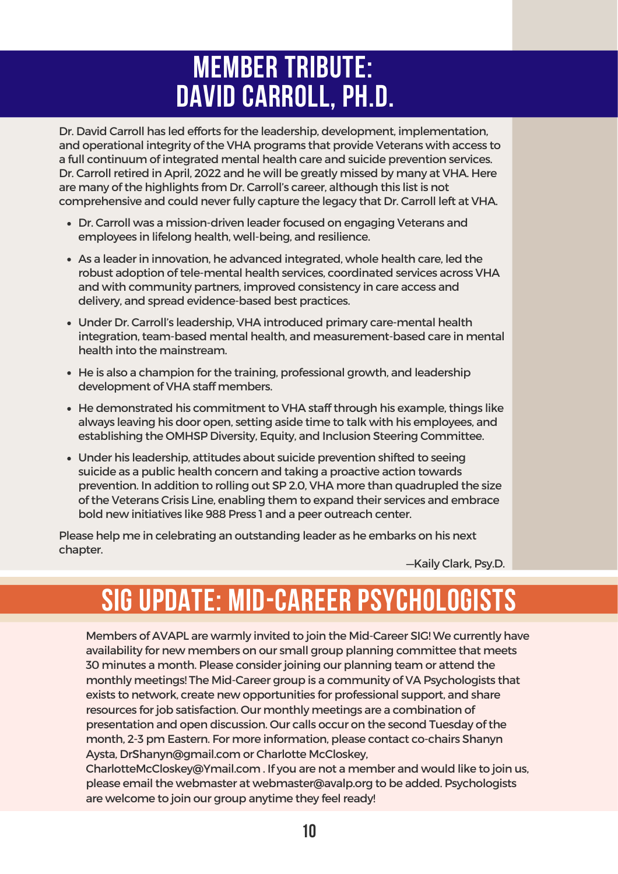### MEMBER TRIBUTE: DAVID CARROLL, PH.D.

Dr. David Carroll has led efforts for the leadership, development, implementation, and operational integrity of the VHA programs that provide Veterans with access to a full continuum of integrated mental health care and suicide prevention services. Dr. Carroll retired in April, 2022 and he will be greatly missed by many at VHA. Here are many of the highlights from Dr. Carroll's career, although this list is not comprehensive and could neverfully capture the legacy that Dr. Carroll left at VHA.

- Dr. Carroll was a mission-driven leader focused on engaging Veterans and employees in lifelong health, well-being, and resilience.
- As a leaderin innovation, he advanced integrated, whole health care, led the robust adoption of tele-mental health services, coordinated services across VHA and with community partners, improved consistency in care access and delivery, and spread evidence-based best practices.
- Under Dr. Carroll's leadership, VHA introduced primary care-mental health integration, team-based mental health, and measurement-based care in mental health into the mainstream.
- He is also a champion for the training, professional growth, and leadership development of VHA staff members.
- He demonstrated his commitment to VHA staff through his example, things like always leaving his door open, setting aside time to talk with his employees, and establishing the OMHSP Diversity, Equity, and Inclusion Steering Committee.
- Under his leadership, attitudes about suicide prevention shifted to seeing suicide as a public health concern and taking a proactive action towards prevention. In addition to rolling out SP 2.0, VHA more than quadrupled the size of the Veterans Crisis Line, enabling them to expand their services and embrace bold new initiatives like 988 Press 1 and a peer outreach center.

Please help me in celebrating an outstanding leader as he embarks on his next chapter.

—Kaily Clark, Psy.D.

# SIG UPDATE: MID-CAREER PSYCHOLOGISTS

Members of AVAPL are warmly invited to join the Mid-Career SIG! We currently have availability for new members on our small group planning committee that meets 30 minutes a month. Please consider joining our planning team or attend the monthly meetings! The Mid-Career group is a community of VA Psychologists that exists to network, create new opportunities for professional support, and share resources for job satisfaction. Our monthly meetings are a combination of presentation and open discussion. Our calls occur on the second Tuesday of the month, 2-3 pm Eastern. For more information, please contact co-chairs Shanyn Aysta, [DrShanyn@gmail.com](mailto:DrShanyn@gmail.com) or Charlotte McCloskey,

[CharlotteMcCloskey@Ymail.com](mailto:CharlotteMcCloskey@Ymail.com) . If you are not a member and would like to join us, please email the webmaster at [webmaster@avalp.org](mailto:webmaster@avalp.org) to be added. Psychologists are welcome to join our group anytime they feel ready!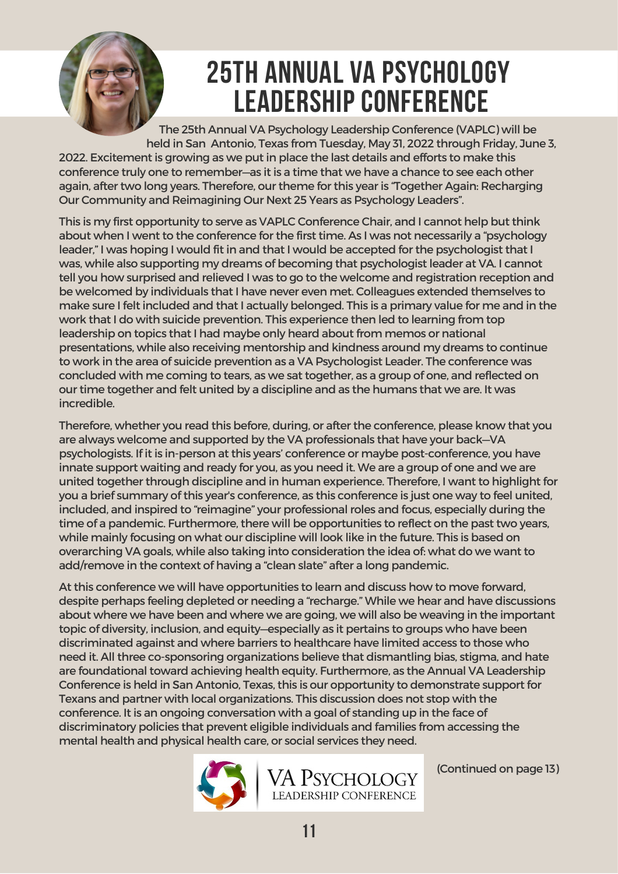

### 25TH ANNUAL VA PSYCHOLOGY LEADERSHIP CONFERENCE

The 25th Annual VA Psychology Leadership Conference (VAPLC) will be held in San Antonio, Texas from Tuesday, May 31, 2022 through Friday, June 3, 2022. Excitement is growing as we put in place the last details and efforts to make this conference truly one to remember—as it is a time that we have a chance to see each other again, after two long years. Therefore, our theme for this yearis "Together Again: Recharging Our Community and Reimagining Our Next 25 Years as Psychology Leaders".

This is my first opportunity to serve as VAPLC Conference Chair, and I cannot help but think about when I went to the conference for the first time. As I was not necessarily a "psychology leader," I was hoping I would fit in and that I would be accepted for the psychologist that I was, while also supporting my dreams of becoming that psychologist leader at VA. I cannot tell you how surprised and relieved I was to go to the welcome and registration reception and be welcomed by individuals that I have never even met. Colleagues extended themselves to make sure I felt included and that I actually belonged. This is a primary value for me and in the work that I do with suicide prevention. This experience then led to learning from top leadership on topics that I had maybe only heard about from memos or national presentations, while also receiving mentorship and kindness around my dreams to continue to work in the area of suicide prevention as a VA Psychologist Leader. The conference was concluded with me coming to tears, as we sat together, as a group of one, and reflected on our time together and felt united by a discipline and as the humans that we are. It was incredible.

Therefore, whether you read this before, during, or after the conference, please know that you are always welcome and supported by the VA professionals that have your back—VA psychologists. If it is in-person at this years' conference or maybe post-conference, you have innate support waiting and ready for you, as you need it. We are a group of one and we are united together through discipline and in human experience. Therefore, I want to highlight for you a brief summary of this year's conference, as this conference is just one way to feel united, included, and inspired to "reimagine" your professional roles and focus, especially during the time of a pandemic. Furthermore, there will be opportunities to reflect on the past two years, while mainly focusing on what our discipline will look like in the future. This is based on overarching VA goals, while also taking into consideration the idea of: what do we want to add/remove in the context of having a "clean slate" after a long pandemic.

At this conference we will have opportunities to learn and discuss how to move forward, despite perhaps feeling depleted or needing a "recharge." While we hear and have discussions about where we have been and where we are going, we will also be weaving in the important topic of diversity, inclusion, and equity—especially as it pertains to groups who have been discriminated against and where barriers to healthcare have limited access to those who need it. All three co-sponsoring organizations believe that dismantling bias, stigma, and hate are foundational toward achieving health equity. Furthermore, as the Annual VA Leadership Conference is held in San Antonio, Texas, this is our opportunity to demonstrate support for Texans and partner with local organizations. This discussion does not stop with the conference. It is an ongoing conversation with a goal of standing up in the face of discriminatory policies that prevent eligible individuals and families from accessing the mental health and physical health care, or social services they need.



(Continued on page 13)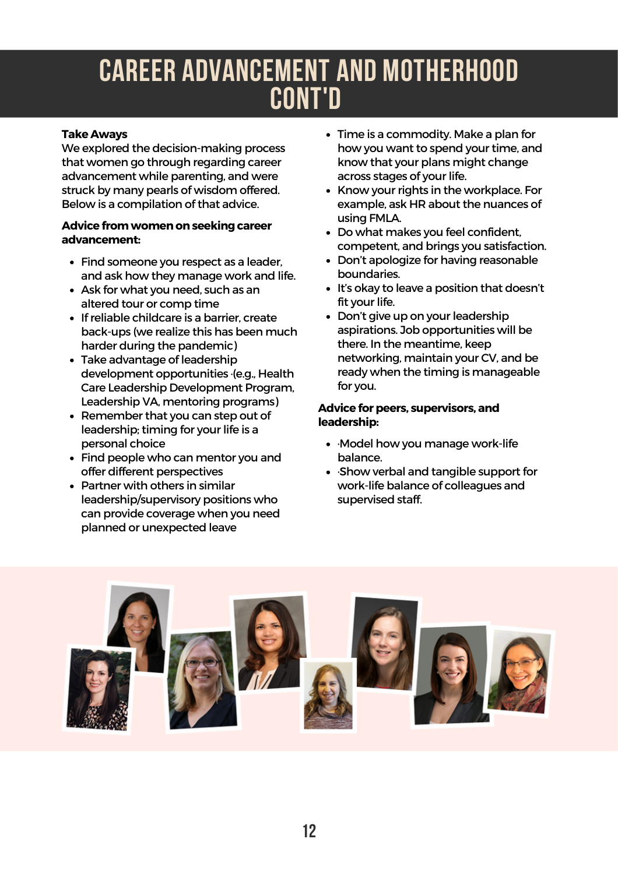### CAREER ADVANCEMENT AND MOTHERHOOD CONT'D

#### **Take Aways**

We explored the decision-making process that women go through regarding career advancement while parenting, and were struck by many pearls of wisdom offered. Below is a compilation of that advice.

#### **Advice fromwomenonseeking career advancement:**

- Find someone you respect as a leader, and ask how they manage work and life.
- Ask for what you need, such as an altered tour or comp time
- If reliable childcare is a barrier, create back-ups (we realize this has been much harder during the pandemic)
- Take advantage of leadership development opportunities ·(e.g., Health Care Leadership Development Program, Leadership VA, mentoring programs)
- Remember that you can step out of leadership; timing for your life is a personal choice
- Find people who can mentor you and offer different perspectives
- Partner with others in similar leadership/supervisory positions who can provide coverage when you need planned or unexpected leave
- Time is a commodity. Make a plan for how you want to spend your time, and know that your plans might change across stages of your life.
- Know your rights in the workplace. For example, ask HR about the nuances of using FMLA.
- Do what makes you feel confident, competent, and brings you satisfaction.
- Don't apologize for having reasonable boundaries.
- It's okay to leave a position that doesn't fit your life.
- Don't give up on your leadership aspirations. Job opportunities will be there. In the meantime, keep networking, maintain your CV, and be ready when the timing is manageable for you.

#### **Advice for peers, supervisors, and leadership:**

- ·Model how you manage work-life balance.
- ·Show verbal and tangible support for work-life balance of colleagues and supervised staff.